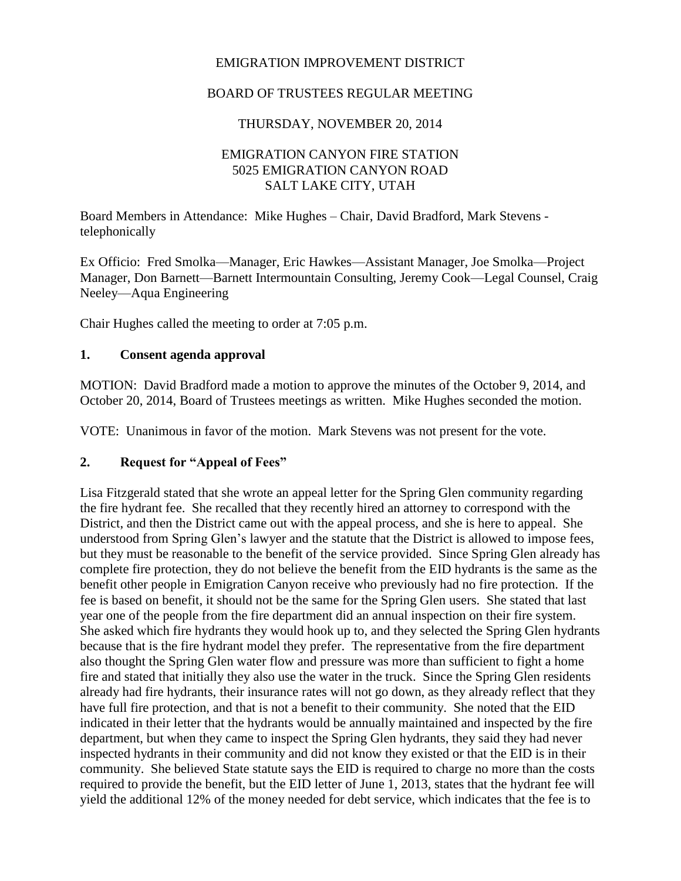### EMIGRATION IMPROVEMENT DISTRICT

### BOARD OF TRUSTEES REGULAR MEETING

### THURSDAY, NOVEMBER 20, 2014

### EMIGRATION CANYON FIRE STATION 5025 EMIGRATION CANYON ROAD SALT LAKE CITY, UTAH

Board Members in Attendance: Mike Hughes – Chair, David Bradford, Mark Stevens telephonically

Ex Officio: Fred Smolka—Manager, Eric Hawkes—Assistant Manager, Joe Smolka—Project Manager, Don Barnett—Barnett Intermountain Consulting, Jeremy Cook—Legal Counsel, Craig Neeley—Aqua Engineering

Chair Hughes called the meeting to order at 7:05 p.m.

#### **1. Consent agenda approval**

MOTION: David Bradford made a motion to approve the minutes of the October 9, 2014, and October 20, 2014, Board of Trustees meetings as written. Mike Hughes seconded the motion.

VOTE: Unanimous in favor of the motion. Mark Stevens was not present for the vote.

#### **2. Request for "Appeal of Fees"**

Lisa Fitzgerald stated that she wrote an appeal letter for the Spring Glen community regarding the fire hydrant fee. She recalled that they recently hired an attorney to correspond with the District, and then the District came out with the appeal process, and she is here to appeal. She understood from Spring Glen's lawyer and the statute that the District is allowed to impose fees, but they must be reasonable to the benefit of the service provided. Since Spring Glen already has complete fire protection, they do not believe the benefit from the EID hydrants is the same as the benefit other people in Emigration Canyon receive who previously had no fire protection. If the fee is based on benefit, it should not be the same for the Spring Glen users. She stated that last year one of the people from the fire department did an annual inspection on their fire system. She asked which fire hydrants they would hook up to, and they selected the Spring Glen hydrants because that is the fire hydrant model they prefer. The representative from the fire department also thought the Spring Glen water flow and pressure was more than sufficient to fight a home fire and stated that initially they also use the water in the truck. Since the Spring Glen residents already had fire hydrants, their insurance rates will not go down, as they already reflect that they have full fire protection, and that is not a benefit to their community. She noted that the EID indicated in their letter that the hydrants would be annually maintained and inspected by the fire department, but when they came to inspect the Spring Glen hydrants, they said they had never inspected hydrants in their community and did not know they existed or that the EID is in their community. She believed State statute says the EID is required to charge no more than the costs required to provide the benefit, but the EID letter of June 1, 2013, states that the hydrant fee will yield the additional 12% of the money needed for debt service, which indicates that the fee is to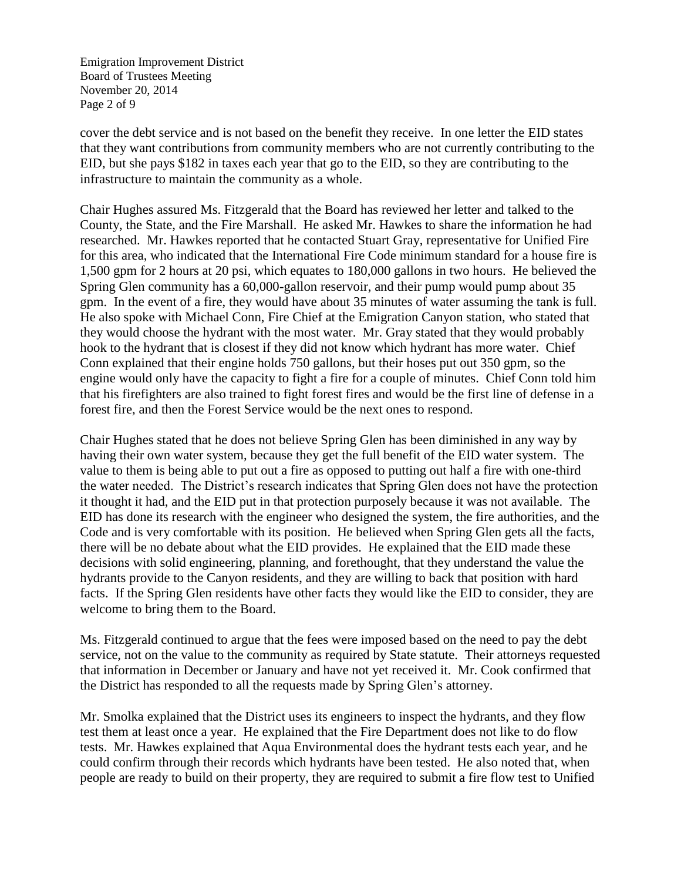Emigration Improvement District Board of Trustees Meeting November 20, 2014 Page 2 of 9

cover the debt service and is not based on the benefit they receive. In one letter the EID states that they want contributions from community members who are not currently contributing to the EID, but she pays \$182 in taxes each year that go to the EID, so they are contributing to the infrastructure to maintain the community as a whole.

Chair Hughes assured Ms. Fitzgerald that the Board has reviewed her letter and talked to the County, the State, and the Fire Marshall. He asked Mr. Hawkes to share the information he had researched. Mr. Hawkes reported that he contacted Stuart Gray, representative for Unified Fire for this area, who indicated that the International Fire Code minimum standard for a house fire is 1,500 gpm for 2 hours at 20 psi, which equates to 180,000 gallons in two hours. He believed the Spring Glen community has a 60,000-gallon reservoir, and their pump would pump about 35 gpm. In the event of a fire, they would have about 35 minutes of water assuming the tank is full. He also spoke with Michael Conn, Fire Chief at the Emigration Canyon station, who stated that they would choose the hydrant with the most water. Mr. Gray stated that they would probably hook to the hydrant that is closest if they did not know which hydrant has more water. Chief Conn explained that their engine holds 750 gallons, but their hoses put out 350 gpm, so the engine would only have the capacity to fight a fire for a couple of minutes. Chief Conn told him that his firefighters are also trained to fight forest fires and would be the first line of defense in a forest fire, and then the Forest Service would be the next ones to respond.

Chair Hughes stated that he does not believe Spring Glen has been diminished in any way by having their own water system, because they get the full benefit of the EID water system. The value to them is being able to put out a fire as opposed to putting out half a fire with one-third the water needed. The District's research indicates that Spring Glen does not have the protection it thought it had, and the EID put in that protection purposely because it was not available. The EID has done its research with the engineer who designed the system, the fire authorities, and the Code and is very comfortable with its position. He believed when Spring Glen gets all the facts, there will be no debate about what the EID provides. He explained that the EID made these decisions with solid engineering, planning, and forethought, that they understand the value the hydrants provide to the Canyon residents, and they are willing to back that position with hard facts. If the Spring Glen residents have other facts they would like the EID to consider, they are welcome to bring them to the Board.

Ms. Fitzgerald continued to argue that the fees were imposed based on the need to pay the debt service, not on the value to the community as required by State statute. Their attorneys requested that information in December or January and have not yet received it. Mr. Cook confirmed that the District has responded to all the requests made by Spring Glen's attorney.

Mr. Smolka explained that the District uses its engineers to inspect the hydrants, and they flow test them at least once a year. He explained that the Fire Department does not like to do flow tests. Mr. Hawkes explained that Aqua Environmental does the hydrant tests each year, and he could confirm through their records which hydrants have been tested. He also noted that, when people are ready to build on their property, they are required to submit a fire flow test to Unified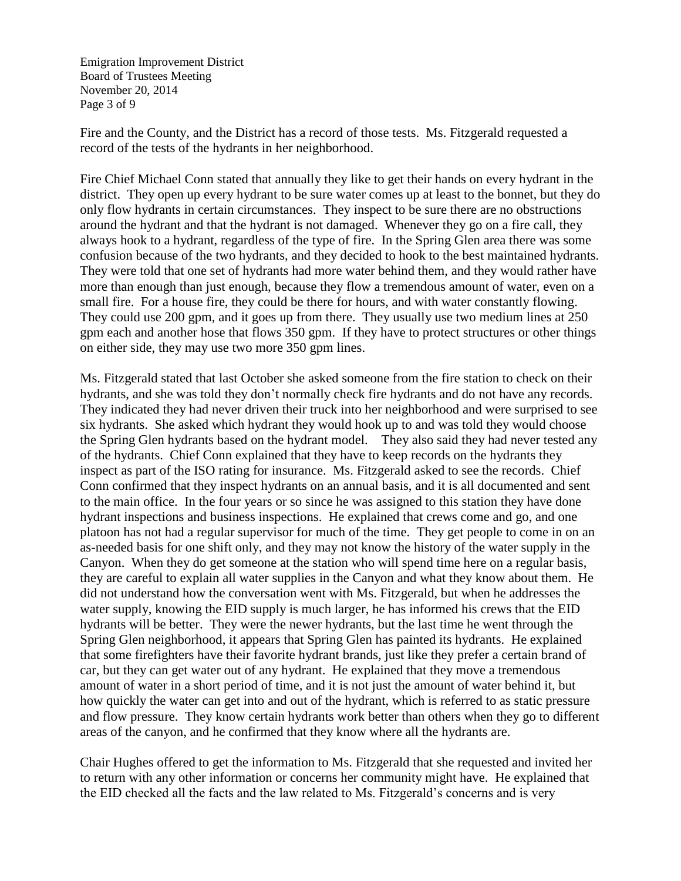Emigration Improvement District Board of Trustees Meeting November 20, 2014 Page 3 of 9

Fire and the County, and the District has a record of those tests. Ms. Fitzgerald requested a record of the tests of the hydrants in her neighborhood.

Fire Chief Michael Conn stated that annually they like to get their hands on every hydrant in the district. They open up every hydrant to be sure water comes up at least to the bonnet, but they do only flow hydrants in certain circumstances. They inspect to be sure there are no obstructions around the hydrant and that the hydrant is not damaged. Whenever they go on a fire call, they always hook to a hydrant, regardless of the type of fire. In the Spring Glen area there was some confusion because of the two hydrants, and they decided to hook to the best maintained hydrants. They were told that one set of hydrants had more water behind them, and they would rather have more than enough than just enough, because they flow a tremendous amount of water, even on a small fire. For a house fire, they could be there for hours, and with water constantly flowing. They could use 200 gpm, and it goes up from there. They usually use two medium lines at 250 gpm each and another hose that flows 350 gpm. If they have to protect structures or other things on either side, they may use two more 350 gpm lines.

Ms. Fitzgerald stated that last October she asked someone from the fire station to check on their hydrants, and she was told they don't normally check fire hydrants and do not have any records. They indicated they had never driven their truck into her neighborhood and were surprised to see six hydrants. She asked which hydrant they would hook up to and was told they would choose the Spring Glen hydrants based on the hydrant model. They also said they had never tested any of the hydrants. Chief Conn explained that they have to keep records on the hydrants they inspect as part of the ISO rating for insurance. Ms. Fitzgerald asked to see the records. Chief Conn confirmed that they inspect hydrants on an annual basis, and it is all documented and sent to the main office. In the four years or so since he was assigned to this station they have done hydrant inspections and business inspections. He explained that crews come and go, and one platoon has not had a regular supervisor for much of the time. They get people to come in on an as-needed basis for one shift only, and they may not know the history of the water supply in the Canyon. When they do get someone at the station who will spend time here on a regular basis, they are careful to explain all water supplies in the Canyon and what they know about them. He did not understand how the conversation went with Ms. Fitzgerald, but when he addresses the water supply, knowing the EID supply is much larger, he has informed his crews that the EID hydrants will be better. They were the newer hydrants, but the last time he went through the Spring Glen neighborhood, it appears that Spring Glen has painted its hydrants. He explained that some firefighters have their favorite hydrant brands, just like they prefer a certain brand of car, but they can get water out of any hydrant. He explained that they move a tremendous amount of water in a short period of time, and it is not just the amount of water behind it, but how quickly the water can get into and out of the hydrant, which is referred to as static pressure and flow pressure. They know certain hydrants work better than others when they go to different areas of the canyon, and he confirmed that they know where all the hydrants are.

Chair Hughes offered to get the information to Ms. Fitzgerald that she requested and invited her to return with any other information or concerns her community might have. He explained that the EID checked all the facts and the law related to Ms. Fitzgerald's concerns and is very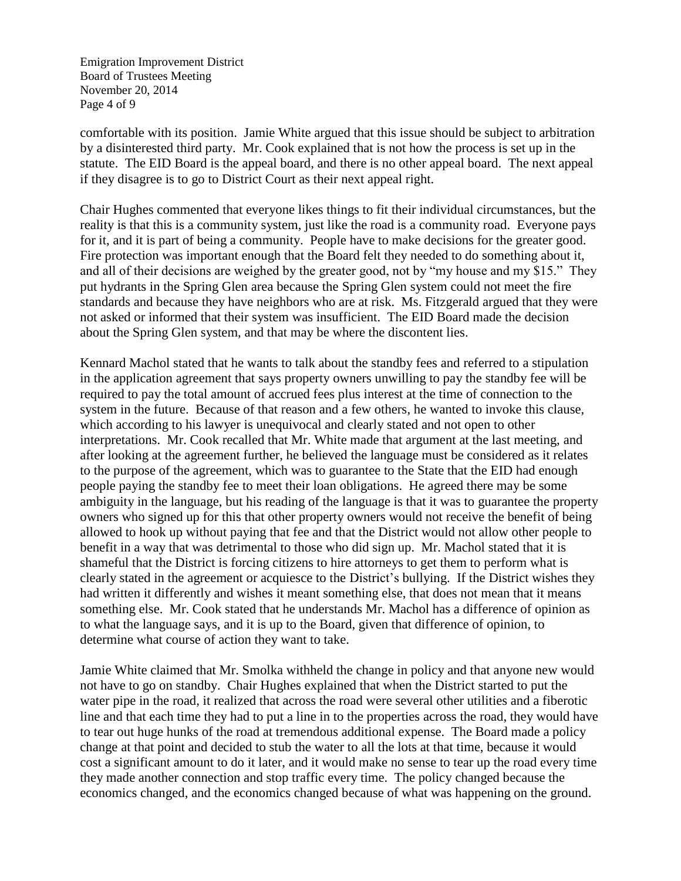Emigration Improvement District Board of Trustees Meeting November 20, 2014 Page 4 of 9

comfortable with its position. Jamie White argued that this issue should be subject to arbitration by a disinterested third party. Mr. Cook explained that is not how the process is set up in the statute. The EID Board is the appeal board, and there is no other appeal board. The next appeal if they disagree is to go to District Court as their next appeal right.

Chair Hughes commented that everyone likes things to fit their individual circumstances, but the reality is that this is a community system, just like the road is a community road. Everyone pays for it, and it is part of being a community. People have to make decisions for the greater good. Fire protection was important enough that the Board felt they needed to do something about it, and all of their decisions are weighed by the greater good, not by "my house and my \$15." They put hydrants in the Spring Glen area because the Spring Glen system could not meet the fire standards and because they have neighbors who are at risk. Ms. Fitzgerald argued that they were not asked or informed that their system was insufficient. The EID Board made the decision about the Spring Glen system, and that may be where the discontent lies.

Kennard Machol stated that he wants to talk about the standby fees and referred to a stipulation in the application agreement that says property owners unwilling to pay the standby fee will be required to pay the total amount of accrued fees plus interest at the time of connection to the system in the future. Because of that reason and a few others, he wanted to invoke this clause, which according to his lawyer is unequivocal and clearly stated and not open to other interpretations. Mr. Cook recalled that Mr. White made that argument at the last meeting, and after looking at the agreement further, he believed the language must be considered as it relates to the purpose of the agreement, which was to guarantee to the State that the EID had enough people paying the standby fee to meet their loan obligations. He agreed there may be some ambiguity in the language, but his reading of the language is that it was to guarantee the property owners who signed up for this that other property owners would not receive the benefit of being allowed to hook up without paying that fee and that the District would not allow other people to benefit in a way that was detrimental to those who did sign up. Mr. Machol stated that it is shameful that the District is forcing citizens to hire attorneys to get them to perform what is clearly stated in the agreement or acquiesce to the District's bullying. If the District wishes they had written it differently and wishes it meant something else, that does not mean that it means something else. Mr. Cook stated that he understands Mr. Machol has a difference of opinion as to what the language says, and it is up to the Board, given that difference of opinion, to determine what course of action they want to take.

Jamie White claimed that Mr. Smolka withheld the change in policy and that anyone new would not have to go on standby. Chair Hughes explained that when the District started to put the water pipe in the road, it realized that across the road were several other utilities and a fiberotic line and that each time they had to put a line in to the properties across the road, they would have to tear out huge hunks of the road at tremendous additional expense. The Board made a policy change at that point and decided to stub the water to all the lots at that time, because it would cost a significant amount to do it later, and it would make no sense to tear up the road every time they made another connection and stop traffic every time. The policy changed because the economics changed, and the economics changed because of what was happening on the ground.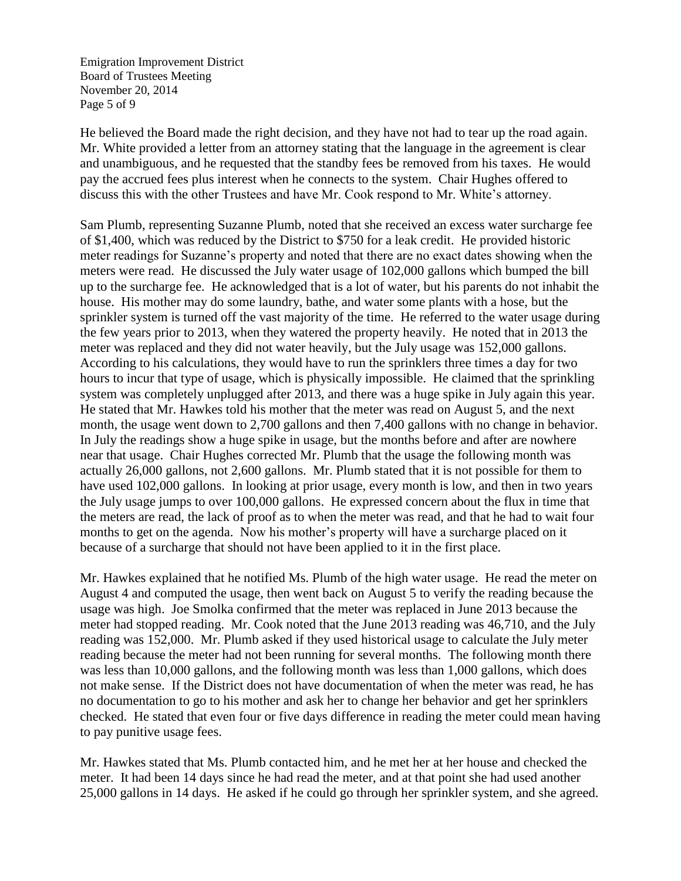Emigration Improvement District Board of Trustees Meeting November 20, 2014 Page 5 of 9

He believed the Board made the right decision, and they have not had to tear up the road again. Mr. White provided a letter from an attorney stating that the language in the agreement is clear and unambiguous, and he requested that the standby fees be removed from his taxes. He would pay the accrued fees plus interest when he connects to the system. Chair Hughes offered to discuss this with the other Trustees and have Mr. Cook respond to Mr. White's attorney.

Sam Plumb, representing Suzanne Plumb, noted that she received an excess water surcharge fee of \$1,400, which was reduced by the District to \$750 for a leak credit. He provided historic meter readings for Suzanne's property and noted that there are no exact dates showing when the meters were read. He discussed the July water usage of 102,000 gallons which bumped the bill up to the surcharge fee. He acknowledged that is a lot of water, but his parents do not inhabit the house. His mother may do some laundry, bathe, and water some plants with a hose, but the sprinkler system is turned off the vast majority of the time. He referred to the water usage during the few years prior to 2013, when they watered the property heavily. He noted that in 2013 the meter was replaced and they did not water heavily, but the July usage was 152,000 gallons. According to his calculations, they would have to run the sprinklers three times a day for two hours to incur that type of usage, which is physically impossible. He claimed that the sprinkling system was completely unplugged after 2013, and there was a huge spike in July again this year. He stated that Mr. Hawkes told his mother that the meter was read on August 5, and the next month, the usage went down to 2,700 gallons and then 7,400 gallons with no change in behavior. In July the readings show a huge spike in usage, but the months before and after are nowhere near that usage. Chair Hughes corrected Mr. Plumb that the usage the following month was actually 26,000 gallons, not 2,600 gallons. Mr. Plumb stated that it is not possible for them to have used 102,000 gallons. In looking at prior usage, every month is low, and then in two years the July usage jumps to over 100,000 gallons. He expressed concern about the flux in time that the meters are read, the lack of proof as to when the meter was read, and that he had to wait four months to get on the agenda. Now his mother's property will have a surcharge placed on it because of a surcharge that should not have been applied to it in the first place.

Mr. Hawkes explained that he notified Ms. Plumb of the high water usage. He read the meter on August 4 and computed the usage, then went back on August 5 to verify the reading because the usage was high. Joe Smolka confirmed that the meter was replaced in June 2013 because the meter had stopped reading. Mr. Cook noted that the June 2013 reading was 46,710, and the July reading was 152,000. Mr. Plumb asked if they used historical usage to calculate the July meter reading because the meter had not been running for several months. The following month there was less than 10,000 gallons, and the following month was less than 1,000 gallons, which does not make sense. If the District does not have documentation of when the meter was read, he has no documentation to go to his mother and ask her to change her behavior and get her sprinklers checked. He stated that even four or five days difference in reading the meter could mean having to pay punitive usage fees.

Mr. Hawkes stated that Ms. Plumb contacted him, and he met her at her house and checked the meter. It had been 14 days since he had read the meter, and at that point she had used another 25,000 gallons in 14 days. He asked if he could go through her sprinkler system, and she agreed.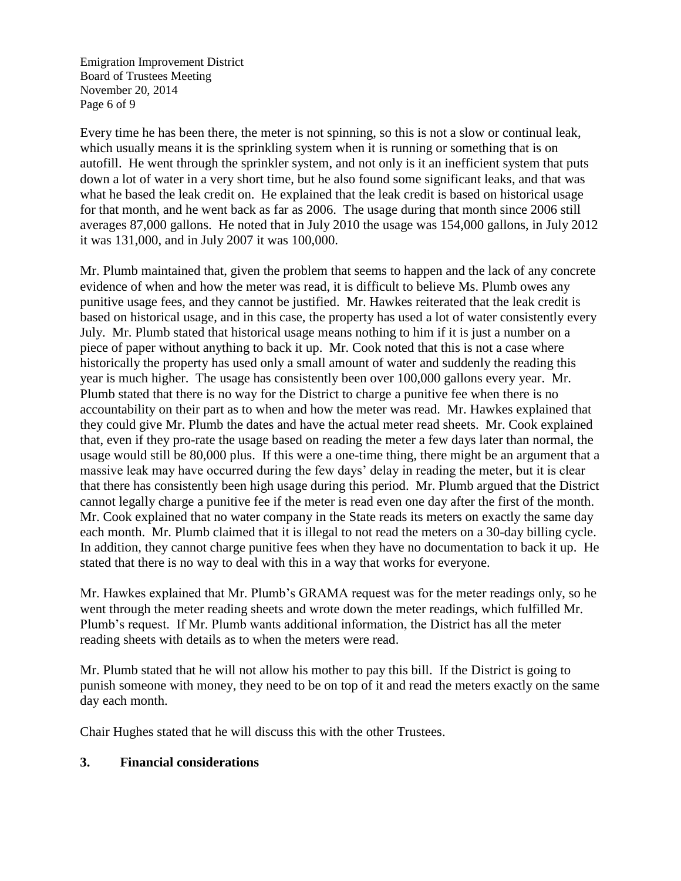Emigration Improvement District Board of Trustees Meeting November 20, 2014 Page 6 of 9

Every time he has been there, the meter is not spinning, so this is not a slow or continual leak, which usually means it is the sprinkling system when it is running or something that is on autofill. He went through the sprinkler system, and not only is it an inefficient system that puts down a lot of water in a very short time, but he also found some significant leaks, and that was what he based the leak credit on. He explained that the leak credit is based on historical usage for that month, and he went back as far as 2006. The usage during that month since 2006 still averages 87,000 gallons. He noted that in July 2010 the usage was 154,000 gallons, in July 2012 it was 131,000, and in July 2007 it was 100,000.

Mr. Plumb maintained that, given the problem that seems to happen and the lack of any concrete evidence of when and how the meter was read, it is difficult to believe Ms. Plumb owes any punitive usage fees, and they cannot be justified. Mr. Hawkes reiterated that the leak credit is based on historical usage, and in this case, the property has used a lot of water consistently every July. Mr. Plumb stated that historical usage means nothing to him if it is just a number on a piece of paper without anything to back it up. Mr. Cook noted that this is not a case where historically the property has used only a small amount of water and suddenly the reading this year is much higher. The usage has consistently been over 100,000 gallons every year. Mr. Plumb stated that there is no way for the District to charge a punitive fee when there is no accountability on their part as to when and how the meter was read. Mr. Hawkes explained that they could give Mr. Plumb the dates and have the actual meter read sheets. Mr. Cook explained that, even if they pro-rate the usage based on reading the meter a few days later than normal, the usage would still be 80,000 plus. If this were a one-time thing, there might be an argument that a massive leak may have occurred during the few days' delay in reading the meter, but it is clear that there has consistently been high usage during this period. Mr. Plumb argued that the District cannot legally charge a punitive fee if the meter is read even one day after the first of the month. Mr. Cook explained that no water company in the State reads its meters on exactly the same day each month. Mr. Plumb claimed that it is illegal to not read the meters on a 30-day billing cycle. In addition, they cannot charge punitive fees when they have no documentation to back it up. He stated that there is no way to deal with this in a way that works for everyone.

Mr. Hawkes explained that Mr. Plumb's GRAMA request was for the meter readings only, so he went through the meter reading sheets and wrote down the meter readings, which fulfilled Mr. Plumb's request. If Mr. Plumb wants additional information, the District has all the meter reading sheets with details as to when the meters were read.

Mr. Plumb stated that he will not allow his mother to pay this bill. If the District is going to punish someone with money, they need to be on top of it and read the meters exactly on the same day each month.

Chair Hughes stated that he will discuss this with the other Trustees.

## **3. Financial considerations**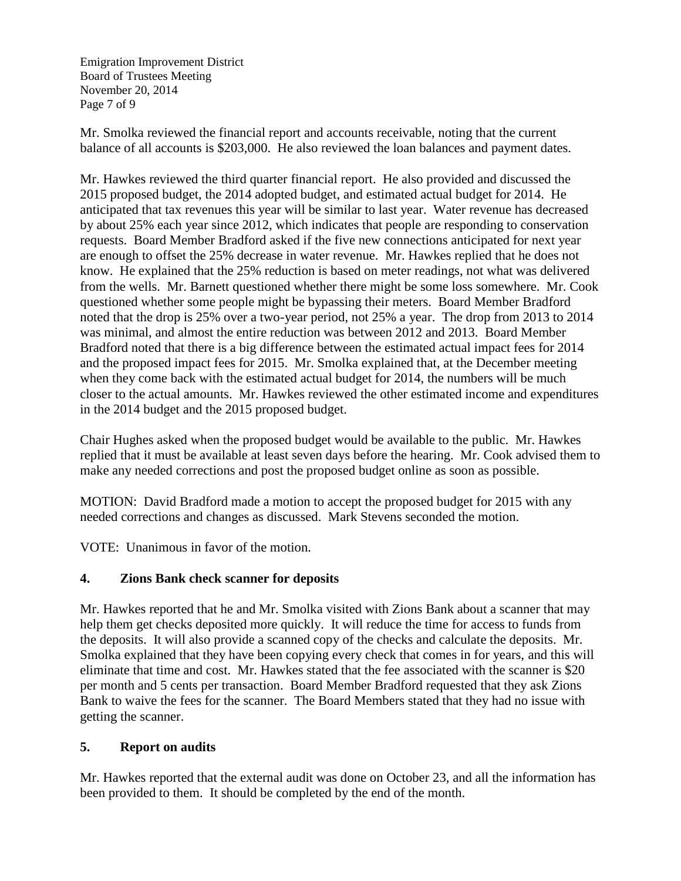Emigration Improvement District Board of Trustees Meeting November 20, 2014 Page 7 of 9

Mr. Smolka reviewed the financial report and accounts receivable, noting that the current balance of all accounts is \$203,000. He also reviewed the loan balances and payment dates.

Mr. Hawkes reviewed the third quarter financial report. He also provided and discussed the 2015 proposed budget, the 2014 adopted budget, and estimated actual budget for 2014. He anticipated that tax revenues this year will be similar to last year. Water revenue has decreased by about 25% each year since 2012, which indicates that people are responding to conservation requests. Board Member Bradford asked if the five new connections anticipated for next year are enough to offset the 25% decrease in water revenue. Mr. Hawkes replied that he does not know. He explained that the 25% reduction is based on meter readings, not what was delivered from the wells. Mr. Barnett questioned whether there might be some loss somewhere. Mr. Cook questioned whether some people might be bypassing their meters. Board Member Bradford noted that the drop is 25% over a two-year period, not 25% a year. The drop from 2013 to 2014 was minimal, and almost the entire reduction was between 2012 and 2013. Board Member Bradford noted that there is a big difference between the estimated actual impact fees for 2014 and the proposed impact fees for 2015. Mr. Smolka explained that, at the December meeting when they come back with the estimated actual budget for 2014, the numbers will be much closer to the actual amounts. Mr. Hawkes reviewed the other estimated income and expenditures in the 2014 budget and the 2015 proposed budget.

Chair Hughes asked when the proposed budget would be available to the public. Mr. Hawkes replied that it must be available at least seven days before the hearing. Mr. Cook advised them to make any needed corrections and post the proposed budget online as soon as possible.

MOTION: David Bradford made a motion to accept the proposed budget for 2015 with any needed corrections and changes as discussed. Mark Stevens seconded the motion.

VOTE: Unanimous in favor of the motion.

# **4. Zions Bank check scanner for deposits**

Mr. Hawkes reported that he and Mr. Smolka visited with Zions Bank about a scanner that may help them get checks deposited more quickly. It will reduce the time for access to funds from the deposits. It will also provide a scanned copy of the checks and calculate the deposits. Mr. Smolka explained that they have been copying every check that comes in for years, and this will eliminate that time and cost. Mr. Hawkes stated that the fee associated with the scanner is \$20 per month and 5 cents per transaction. Board Member Bradford requested that they ask Zions Bank to waive the fees for the scanner. The Board Members stated that they had no issue with getting the scanner.

# **5. Report on audits**

Mr. Hawkes reported that the external audit was done on October 23, and all the information has been provided to them. It should be completed by the end of the month.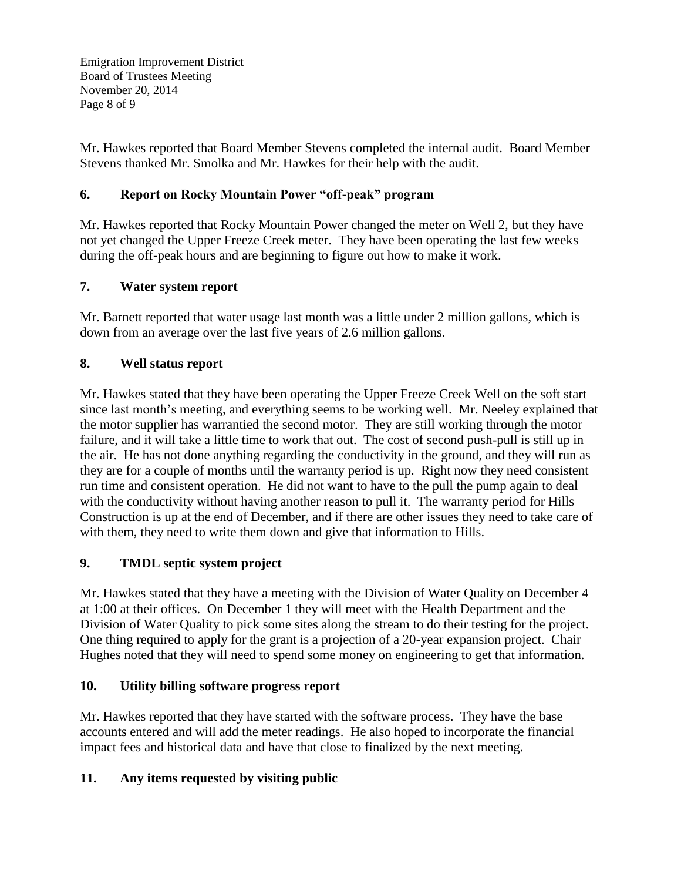Emigration Improvement District Board of Trustees Meeting November 20, 2014 Page 8 of 9

Mr. Hawkes reported that Board Member Stevens completed the internal audit. Board Member Stevens thanked Mr. Smolka and Mr. Hawkes for their help with the audit.

## **6. Report on Rocky Mountain Power "off-peak" program**

Mr. Hawkes reported that Rocky Mountain Power changed the meter on Well 2, but they have not yet changed the Upper Freeze Creek meter. They have been operating the last few weeks during the off-peak hours and are beginning to figure out how to make it work.

## **7. Water system report**

Mr. Barnett reported that water usage last month was a little under 2 million gallons, which is down from an average over the last five years of 2.6 million gallons.

## **8. Well status report**

Mr. Hawkes stated that they have been operating the Upper Freeze Creek Well on the soft start since last month's meeting, and everything seems to be working well. Mr. Neeley explained that the motor supplier has warrantied the second motor. They are still working through the motor failure, and it will take a little time to work that out. The cost of second push-pull is still up in the air. He has not done anything regarding the conductivity in the ground, and they will run as they are for a couple of months until the warranty period is up. Right now they need consistent run time and consistent operation. He did not want to have to the pull the pump again to deal with the conductivity without having another reason to pull it. The warranty period for Hills Construction is up at the end of December, and if there are other issues they need to take care of with them, they need to write them down and give that information to Hills.

## **9. TMDL septic system project**

Mr. Hawkes stated that they have a meeting with the Division of Water Quality on December 4 at 1:00 at their offices. On December 1 they will meet with the Health Department and the Division of Water Quality to pick some sites along the stream to do their testing for the project. One thing required to apply for the grant is a projection of a 20-year expansion project. Chair Hughes noted that they will need to spend some money on engineering to get that information.

## **10. Utility billing software progress report**

Mr. Hawkes reported that they have started with the software process. They have the base accounts entered and will add the meter readings. He also hoped to incorporate the financial impact fees and historical data and have that close to finalized by the next meeting.

# **11. Any items requested by visiting public**